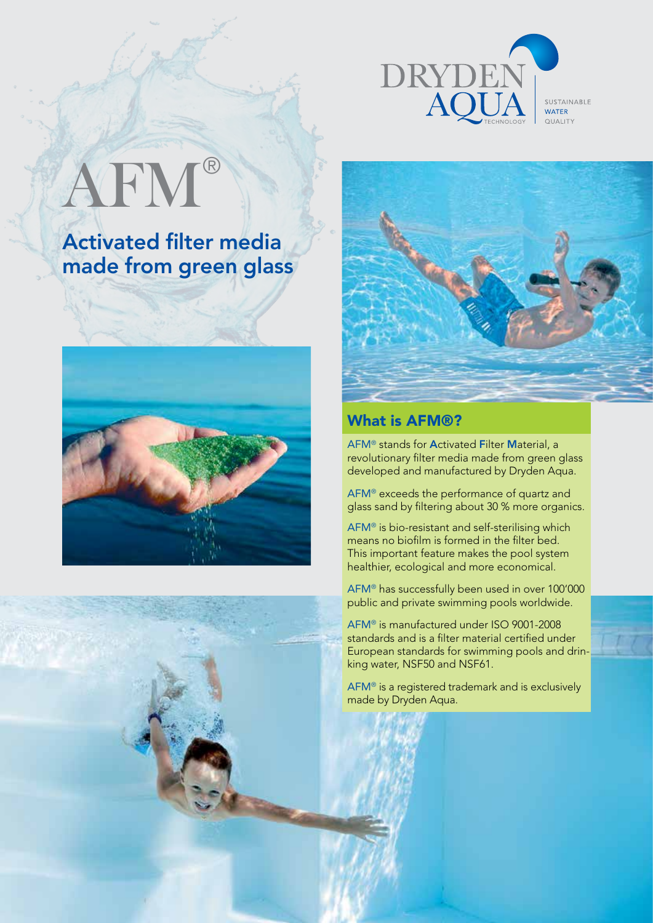

SUSTAINABLE **WATER** QUALITY

# AFM®

Activated filter media made from green glass







### What is AFM®?

AFM® stands for Activated Filter Material, a revolutionary filter media made from green glass developed and manufactured by Dryden Aqua.

AFM® exceeds the performance of quartz and glass sand by filtering about 30 % more organics.

AFM® is bio-resistant and self-sterilising which means no biofilm is formed in the filter bed. This important feature makes the pool system healthier, ecological and more economical.

AFM® has successfully been used in over 100'000 public and private swimming pools worldwide.

AFM® is manufactured under ISO 9001-2008 standards and is a filter material certified under European standards for swimming pools and drinking water, NSF50 and NSF61.

AFM® is a registered trademark and is exclusively made by Dryden Aqua.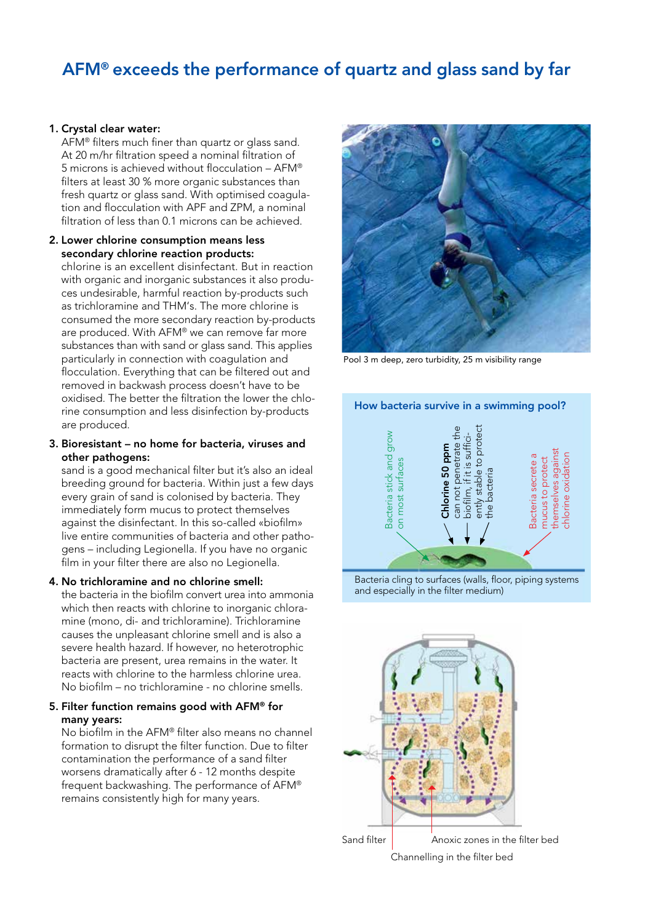## AFM® exceeds the performance of quartz and glass sand by far

#### 1. Crystal clear water:

AFM® filters much finer than quartz or glass sand. At 20 m/hr filtration speed a nominal filtration of 5 microns is achieved without flocculation – AFM® filters at least 30 % more organic substances than fresh quartz or glass sand. With optimised coagulation and flocculation with APF and ZPM, a nominal filtration of less than 0.1 microns can be achieved.

#### 2. Lower chlorine consumption means less secondary chlorine reaction products:

chlorine is an excellent disinfectant. But in reaction with organic and inorganic substances it also produces undesirable, harmful reaction by-products such as trichloramine and THM's. The more chlorine is consumed the more secondary reaction by-products are produced. With AFM® we can remove far more substances than with sand or glass sand. This applies particularly in connection with coagulation and flocculation. Everything that can be filtered out and removed in backwash process doesn't have to be oxidised. The better the filtration the lower the chlorine consumption and less disinfection by-products are produced.

#### 3. Bioresistant – no home for bacteria, viruses and other pathogens:

sand is a good mechanical filter but it's also an ideal breeding ground for bacteria. Within just a few days every grain of sand is colonised by bacteria. They immediately form mucus to protect themselves against the disinfectant. In this so-called «biofilm» live entire communities of bacteria and other pathogens – including Legionella. If you have no organic film in your filter there are also no Legionella.

#### 4. No trichloramine and no chlorine smell:

the bacteria in the biofilm convert urea into ammonia which then reacts with chlorine to inorganic chloramine (mono, di- and trichloramine). Trichloramine causes the unpleasant chlorine smell and is also a severe health hazard. If however, no heterotrophic bacteria are present, urea remains in the water. It reacts with chlorine to the harmless chlorine urea. No biofilm – no trichloramine - no chlorine smells.

#### 5. Filter function remains good with AFM® for many years:

No biofilm in the AFM® filter also means no channel formation to disrupt the filter function. Due to filter contamination the performance of a sand filter worsens dramatically after 6 - 12 months despite frequent backwashing. The performance of AFM® remains consistently high for many years.



Pool 3 m deep, zero turbidity, 25 m visibility range



Bacteria cling to surfaces (walls, floor, piping systems



Anoxic zones in the filter bed Channelling in the filter bed Sand filter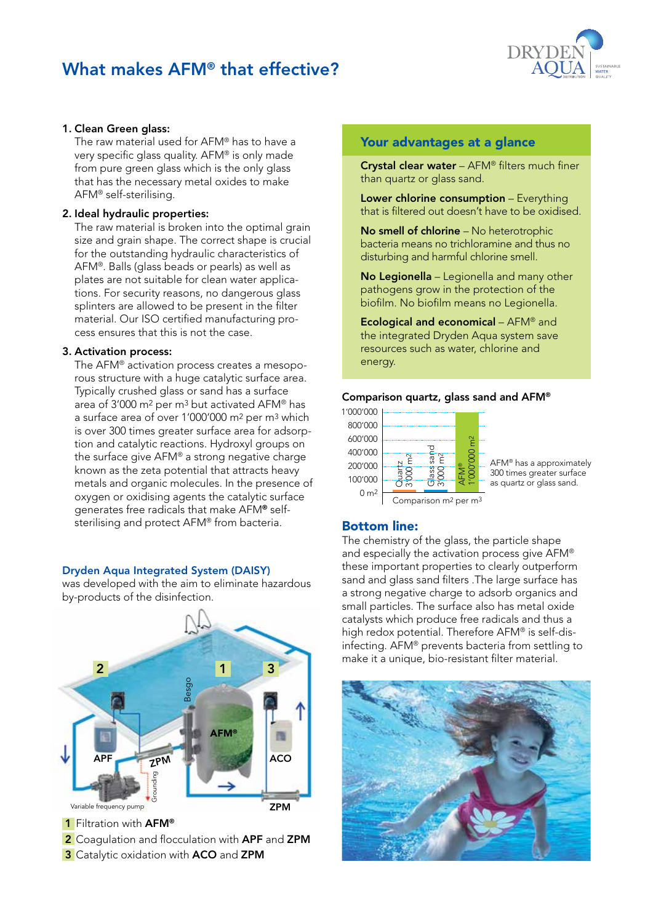## What makes AFM® that effective?



#### 1. Clean Green glass:

The raw material used for AFM® has to have a very specific glass quality. AFM® is only made from pure green glass which is the only glass that has the necessary metal oxides to make AFM® self-sterilising.

#### 2. Ideal hydraulic properties:

The raw material is broken into the optimal grain size and grain shape. The correct shape is crucial for the outstanding hydraulic characteristics of AFM®. Balls (glass beads or pearls) as well as plates are not suitable for clean water applications. For security reasons, no dangerous glass splinters are allowed to be present in the filter material. Our ISO certified manufacturing process ensures that this is not the case.

#### 3. Activation process:

The AFM® activation process creates a mesoporous structure with a huge catalytic surface area. Typically crushed glass or sand has a surface area of 3'000 m2 per m3 but activated AFM® has a surface area of over 1'000'000 m2 per m3 which is over 300 times greater surface area for adsorption and catalytic reactions. Hydroxyl groups on the surface give AFM® a strong negative charge known as the zeta potential that attracts heavy metals and organic molecules. In the presence of oxygen or oxidising agents the catalytic surface generates free radicals that make AFM® selfsterilising and protect AFM® from bacteria.

#### Dryden Aqua Integrated System (DAISY)

was developed with the aim to eliminate hazardous by-products of the disinfection.



- 2 Coagulation and flocculation with APF and ZPM
- 3 Catalytic oxidation with ACO and ZPM

#### Your advantages at a glance

Crystal clear water – AFM® filters much finer than quartz or glass sand.

Lower chlorine consumption - Everything that is filtered out doesn't have to be oxidised.

No smell of chlorine – No heterotrophic bacteria means no trichloramine and thus no disturbing and harmful chlorine smell.

No Legionella - Legionella and many other pathogens grow in the protection of the biofilm. No biofilm means no Legionella.

Ecological and economical – AFM® and the integrated Dryden Aqua system save resources such as water, chlorine and energy.

#### Comparison quartz, glass sand and AFM®



AFM® has a approximately 300 times greater surface as quartz or glass sand.



#### Bottom line:

The chemistry of the glass, the particle shape and especially the activation process give AFM® these important properties to clearly outperform sand and glass sand filters .The large surface has a strong negative charge to adsorb organics and small particles. The surface also has metal oxide catalysts which produce free radicals and thus a high redox potential. Therefore AFM® is self-disinfecting. AFM® prevents bacteria from settling to make it a unique, bio-resistant filter material.